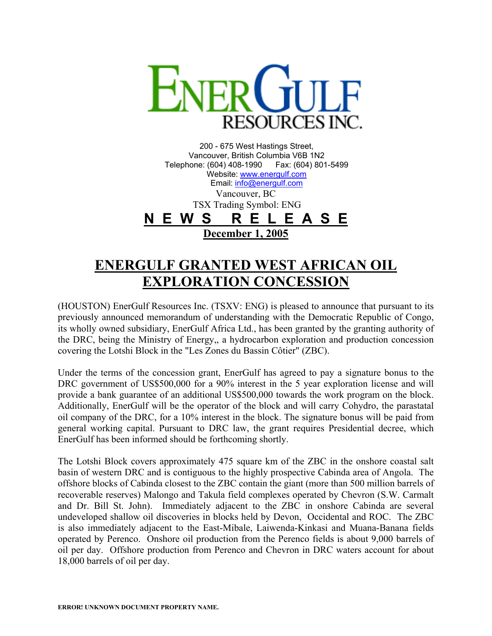

200 - 675 West Hastings Street, Vancouver, British Columbia V6B 1N2 Telephone: (604) 408-1990 Fax: (604) 801-5499 Website: [www.energulf.com](http://www.energulf.com/) Email: [info@energulf.com](mailto:info@energulf.com) Vancouver, BC TSX Trading Symbol: ENG **N E W S R E L E A S E December 1, 2005**

## **ENERGULF GRANTED WEST AFRICAN OIL EXPLORATION CONCESSION**

(HOUSTON) EnerGulf Resources Inc. (TSXV: ENG) is pleased to announce that pursuant to its previously announced memorandum of understanding with the Democratic Republic of Congo, its wholly owned subsidiary, EnerGulf Africa Ltd., has been granted by the granting authority of the DRC, being the Ministry of Energy,, a hydrocarbon exploration and production concession covering the Lotshi Block in the "Les Zones du Bassin Côtier" (ZBC).

Under the terms of the concession grant, EnerGulf has agreed to pay a signature bonus to the DRC government of US\$500,000 for a 90% interest in the 5 year exploration license and will provide a bank guarantee of an additional US\$500,000 towards the work program on the block. Additionally, EnerGulf will be the operator of the block and will carry Cohydro, the parastatal oil company of the DRC, for a 10% interest in the block. The signature bonus will be paid from general working capital. Pursuant to DRC law, the grant requires Presidential decree, which EnerGulf has been informed should be forthcoming shortly.

The Lotshi Block covers approximately 475 square km of the ZBC in the onshore coastal salt basin of western DRC and is contiguous to the highly prospective Cabinda area of Angola. The offshore blocks of Cabinda closest to the ZBC contain the giant (more than 500 million barrels of recoverable reserves) Malongo and Takula field complexes operated by Chevron (S.W. Carmalt and Dr. Bill St. John). Immediately adjacent to the ZBC in onshore Cabinda are several undeveloped shallow oil discoveries in blocks held by Devon, Occidental and ROC. The ZBC is also immediately adjacent to the East-Mibale, Laiwenda-Kinkasi and Muana-Banana fields operated by Perenco. Onshore oil production from the Perenco fields is about 9,000 barrels of oil per day. Offshore production from Perenco and Chevron in DRC waters account for about 18,000 barrels of oil per day.